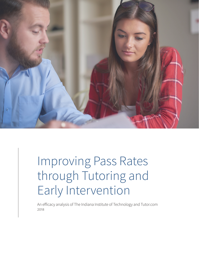

# Improving Pass Rates through Tutoring and Early Intervention

An efficacy analysis of The Indiana Institute of Technology and Tutor.com 2018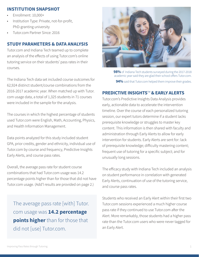## **INSTITUTION SNAPSHOT**

- Enrollment: 10,000+
- Institution Type: Private, not-for-profit, PhD-granting university
- Tutor.com Partner Since: 2016

## **STUDY PARAMETERS & DATA ANALYSIS**

Tutor.com and Indiana Tech teamed up to complete an analysis of the effects of using Tutor.com's online tutoring service on their students' pass rates in their courses.

The Indiana Tech data set included course outcomes for 62,924 distinct student/course combinations from the 2016-2017 academic year. When matched up with Tutor. com usage data, a total of 1,325 students in 71 courses were included in the sample for the analysis.

The courses in which the highest percentage of students used Tutor.com were English, Math, Accounting, Physics, and Health Information Management.

Data points analyzed for this study included student GPA, prior credits, gender and ethnicity, individual use of Tutor.com by course and frequency, Predictive Insights Early Alerts, and course pass rates.

Overall, the average pass rate for student course combinations that had Tutor.com usage was 14.2 percentage points higher than for those that did not have Tutor.com usage. (Add'l results are provided on page 2.)

The average pass rate [with] Tutor. com usage was **14.2 percentage points higher** than for those that did not [use] Tutor.com.



**98%** of Indiana Tech students surveyed during the 2017-2018 academic year said they are glad their school offers Tutor.com. **94%** said that Tutor.com helped them improve their grades.

#### **PREDICTIVE INSIGHTS**™ **& EARLY ALERTS**

Tutor.com's Predictive Insights Data Analysis provides early, actionable data to accelerate the intervention timeline. Over the course of each personalized tutoring session, our expert tutors determine if a student lacks prerequisite knowledge or struggles to master key content. This information is then shared with faculty and administration through Early Alerts to allow for early intervention for students. Early Alerts are sent for: lack of prerequisite knowledge; difficulty mastering content; frequent use of tutoring for a specific subject; and for unusually long sessions.

The efficacy study with Indiana Tech included an analysis on student performance in correlation with generated Early Alerts, continuation of use of the tutoring service, and course pass rates.

Students who received an Early Alert within their first two Tutor.com sessions experienced a much higher course pass rate if they continued to use Tutor.com after the Alert. More remarkably, those students had a higher pass rate than the Tutor.com users who were never tagged for an Early Alert.